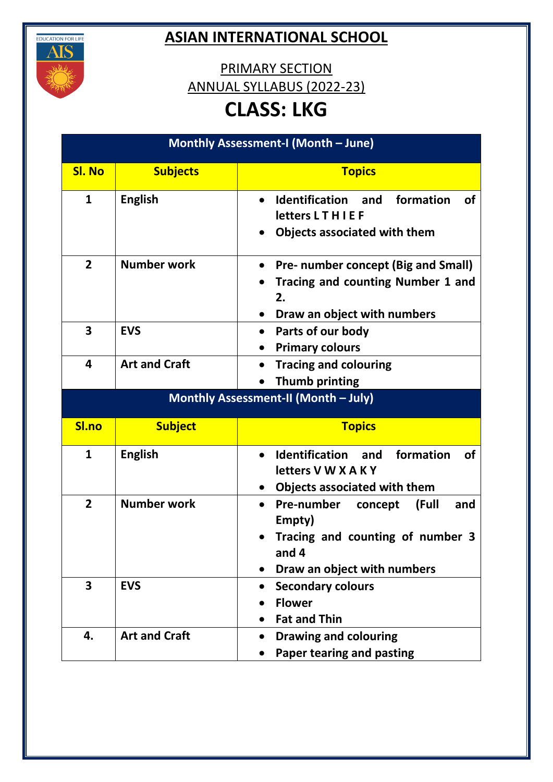

## **ASIAN INTERNATIONAL SCHOOL**

PRIMARY SECTION ANNUAL SYLLABUS (2022-23)

## **CLASS: LKG**

| Monthly Assessment-I (Month - June) |                                      |                                                                                                                                                 |  |
|-------------------------------------|--------------------------------------|-------------------------------------------------------------------------------------------------------------------------------------------------|--|
| <b>SI. No</b>                       | <b>Subjects</b>                      | <b>Topics</b>                                                                                                                                   |  |
| 1                                   | <b>English</b>                       | Identification and<br>formation<br><b>of</b><br>$\bullet$<br>letters LTHIEF<br>Objects associated with them                                     |  |
| $\overline{2}$                      | <b>Number work</b>                   | Pre- number concept (Big and Small)<br>Tracing and counting Number 1 and<br>2.<br>Draw an object with numbers                                   |  |
| 3                                   | <b>EVS</b>                           | Parts of our body<br>$\bullet$<br><b>Primary colours</b>                                                                                        |  |
| 4                                   | <b>Art and Craft</b>                 | <b>Tracing and colouring</b><br><b>Thumb printing</b>                                                                                           |  |
|                                     | Monthly Assessment-II (Month - July) |                                                                                                                                                 |  |
| Sl.no                               | <b>Subject</b>                       | <b>Topics</b>                                                                                                                                   |  |
| $\mathbf{1}$                        | <b>English</b>                       | <b>Identification</b> and<br>formation<br><b>of</b><br>$\bullet$<br>letters V W X A K Y<br>Objects associated with them                         |  |
| $\overline{2}$                      | <b>Number work</b>                   | <b>Pre-number</b><br>(Full<br>concept<br>and<br>$\bullet$<br>Empty)<br>Tracing and counting of number 3<br>and 4<br>Draw an object with numbers |  |
| 3                                   | <b>EVS</b>                           | <b>Secondary colours</b><br><b>Flower</b><br><b>Fat and Thin</b>                                                                                |  |
| 4.                                  | <b>Art and Craft</b>                 | <b>Drawing and colouring</b><br>Paper tearing and pasting                                                                                       |  |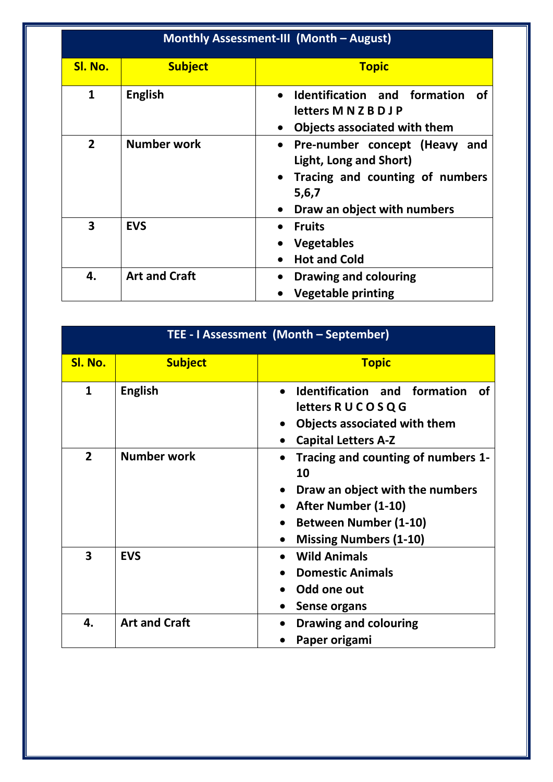| Monthly Assessment-III (Month - August) |                      |                                                                                                                                                              |
|-----------------------------------------|----------------------|--------------------------------------------------------------------------------------------------------------------------------------------------------------|
| Sl. No.                                 | <b>Subject</b>       | <b>Topic</b>                                                                                                                                                 |
| $\mathbf{1}$                            | <b>English</b>       | Identification and formation<br><b>of</b><br>letters M N Z B D J P<br><b>Objects associated with them</b><br>$\bullet$                                       |
| $\overline{2}$                          | Number work          | Pre-number concept (Heavy and<br>$\bullet$<br>Light, Long and Short)<br>Tracing and counting of numbers<br>5,6,7<br>Draw an object with numbers<br>$\bullet$ |
| 3                                       | <b>EVS</b>           | <b>Fruits</b><br><b>Vegetables</b><br><b>Hot and Cold</b>                                                                                                    |
| 4.                                      | <b>Art and Craft</b> | <b>Drawing and colouring</b><br>$\bullet$<br><b>Vegetable printing</b>                                                                                       |

| TEE - I Assessment (Month - September) |                      |                                                                                                                                                                                               |
|----------------------------------------|----------------------|-----------------------------------------------------------------------------------------------------------------------------------------------------------------------------------------------|
| Sl. No.                                | <b>Subject</b>       | <b>Topic</b>                                                                                                                                                                                  |
| $\mathbf{1}$                           | <b>English</b>       | Identification and formation<br>∩f<br>$\bullet$<br>letters R U C O S Q G<br>Objects associated with them<br><b>Capital Letters A-Z</b>                                                        |
| $\overline{2}$                         | <b>Number work</b>   | Tracing and counting of numbers 1-<br>$\bullet$<br>10<br>Draw an object with the numbers<br>After Number (1-10)<br><b>Between Number (1-10)</b><br>$\bullet$<br><b>Missing Numbers (1-10)</b> |
| $\overline{\mathbf{3}}$                | <b>EVS</b>           | <b>Wild Animals</b><br><b>Domestic Animals</b><br>Odd one out<br><b>Sense organs</b>                                                                                                          |
| 4.                                     | <b>Art and Craft</b> | <b>Drawing and colouring</b><br>Paper origami                                                                                                                                                 |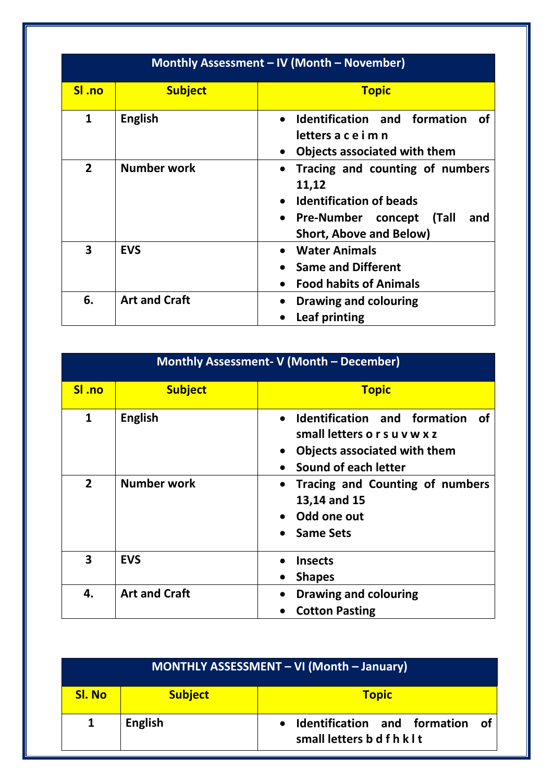| Monthly Assessment - IV (Month - November) |                      |                                                                                                                                                                        |
|--------------------------------------------|----------------------|------------------------------------------------------------------------------------------------------------------------------------------------------------------------|
| SI .no                                     | <b>Subject</b>       | <b>Topic</b>                                                                                                                                                           |
| $\mathbf{1}$                               | <b>English</b>       | Identification and formation<br>of<br>letters a c e i m n<br>Objects associated with them                                                                              |
| $\overline{2}$                             | Number work          | Tracing and counting of numbers<br>11,12<br><b>Identification of beads</b><br><b>Pre-Number concept</b><br>(Tall<br>and<br>$\bullet$<br><b>Short, Above and Below)</b> |
| 3                                          | <b>EVS</b>           | <b>Water Animals</b><br><b>Same and Different</b><br><b>Food habits of Animals</b>                                                                                     |
| 6.                                         | <b>Art and Craft</b> | Drawing and colouring<br>Leaf printing                                                                                                                                 |

| Monthly Assessment- V (Month - December) |                      |                                                                                                                                    |
|------------------------------------------|----------------------|------------------------------------------------------------------------------------------------------------------------------------|
| SI .no                                   | <b>Subject</b>       | <b>Topic</b>                                                                                                                       |
| $\mathbf{1}$                             | <b>English</b>       | Identification and formation<br><b>of</b><br>small letters o r s u v w x z<br>Objects associated with them<br>Sound of each letter |
| $\overline{2}$                           | Number work          | Tracing and Counting of numbers<br>$\bullet$<br>13,14 and 15<br>Odd one out<br><b>Same Sets</b>                                    |
| $\overline{\mathbf{3}}$                  | <b>EVS</b>           | <b>Insects</b><br><b>Shapes</b>                                                                                                    |
| 4.                                       | <b>Art and Craft</b> | <b>Drawing and colouring</b><br><b>Cotton Pasting</b>                                                                              |

| MONTHLY ASSESSMENT - VI (Month - January) |                |                                                                             |
|-------------------------------------------|----------------|-----------------------------------------------------------------------------|
| <b>Sl. No</b>                             | <b>Subject</b> | <b>Topic</b>                                                                |
|                                           | <b>English</b> | Identification and formation of<br>$\bullet$<br>small letters b d f h k l t |